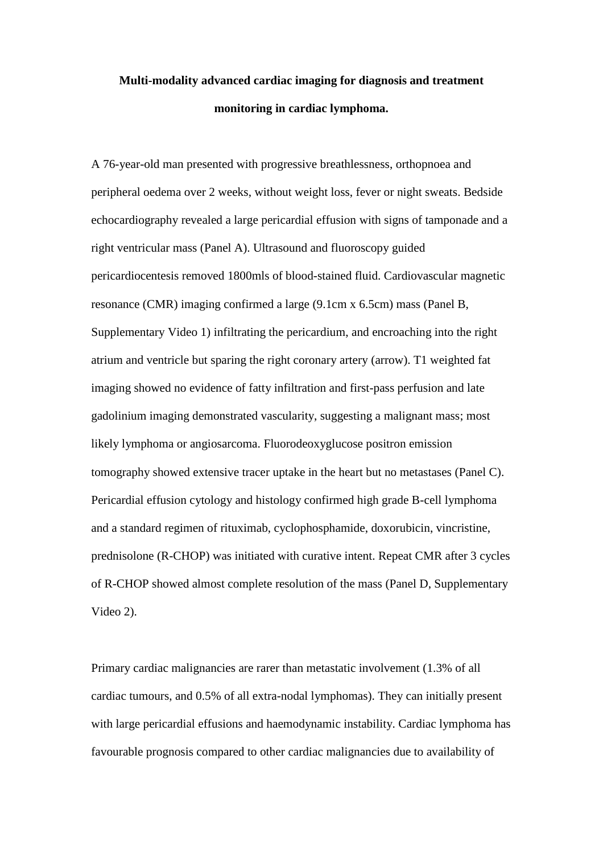## **Multi-modality advanced cardiac imaging for diagnosis and treatment monitoring in cardiac lymphoma.**

A 76-year-old man presented with progressive breathlessness, orthopnoea and peripheral oedema over 2 weeks, without weight loss, fever or night sweats. Bedside echocardiography revealed a large pericardial effusion with signs of tamponade and a right ventricular mass (Panel A). Ultrasound and fluoroscopy guided pericardiocentesis removed 1800mls of blood-stained fluid. Cardiovascular magnetic resonance (CMR) imaging confirmed a large (9.1cm x 6.5cm) mass (Panel B, Supplementary Video 1) infiltrating the pericardium, and encroaching into the right atrium and ventricle but sparing the right coronary artery (arrow). T1 weighted fat imaging showed no evidence of fatty infiltration and first-pass perfusion and late gadolinium imaging demonstrated vascularity, suggesting a malignant mass; most likely lymphoma or angiosarcoma. Fluorodeoxyglucose positron emission tomography showed extensive tracer uptake in the heart but no metastases (Panel C). Pericardial effusion cytology and histology confirmed high grade B-cell lymphoma and a standard regimen of rituximab, cyclophosphamide, doxorubicin, vincristine, prednisolone (R-CHOP) was initiated with curative intent. Repeat CMR after 3 cycles of R-CHOP showed almost complete resolution of the mass (Panel D, Supplementary Video 2).

Primary cardiac malignancies are rarer than metastatic involvement (1.3% of all cardiac tumours, and 0.5% of all extra-nodal lymphomas). They can initially present with large pericardial effusions and haemodynamic instability. Cardiac lymphoma has favourable prognosis compared to other cardiac malignancies due to availability of